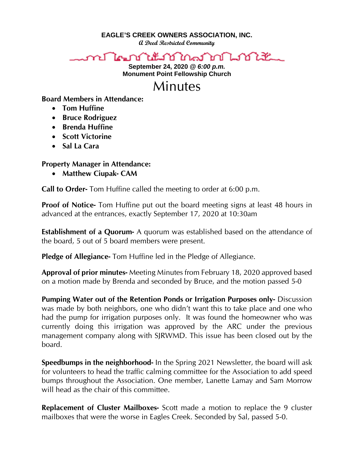**EAGLE'S CREEK OWNERS ASSOCIATION, INC.**

**A Deed Restricted Community**

## ๛กำแนงในนั้นใช้ในสำคัญให้นั้น

**September 24, 2020** *@ 6:00 p.m.* **Monument Point Fellowship Church**

## Minutes

## **Board Members in Attendance:**

- **Tom Huffine**
- **Bruce Rodriguez**
- **Brenda Huffine**
- **Scott Victorine**
- **Sal La Cara**

## **Property Manager in Attendance:**

• **Matthew Ciupak- CAM**

**Call to Order-** Tom Huffine called the meeting to order at 6:00 p.m.

**Proof of Notice-** Tom Huffine put out the board meeting signs at least 48 hours in advanced at the entrances, exactly September 17, 2020 at 10:30am

**Establishment of a Quorum-** A quorum was established based on the attendance of the board, 5 out of 5 board members were present.

**Pledge of Allegiance-** Tom Huffine led in the Pledge of Allegiance.

**Approval of prior minutes-** Meeting Minutes from February 18, 2020 approved based on a motion made by Brenda and seconded by Bruce, and the motion passed 5-0

**Pumping Water out of the Retention Ponds or Irrigation Purposes only-** Discussion was made by both neighbors, one who didn't want this to take place and one who had the pump for irrigation purposes only. It was found the homeowner who was currently doing this irrigation was approved by the ARC under the previous management company along with SJRWMD. This issue has been closed out by the board.

**Speedbumps in the neighborhood-** In the Spring 2021 Newsletter, the board will ask for volunteers to head the traffic calming committee for the Association to add speed bumps throughout the Association. One member, Lanette Lamay and Sam Morrow will head as the chair of this committee.

**Replacement of Cluster Mailboxes-** Scott made a motion to replace the 9 cluster mailboxes that were the worse in Eagles Creek. Seconded by Sal, passed 5-0.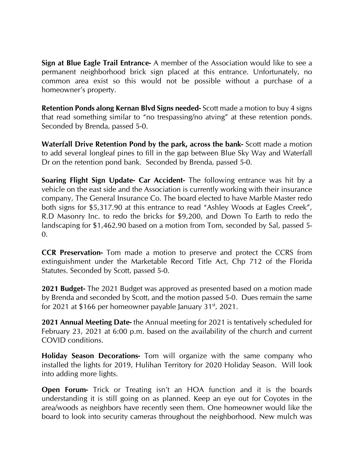**Sign at Blue Eagle Trail Entrance-** A member of the Association would like to see a permanent neighborhood brick sign placed at this entrance. Unfortunately, no common area exist so this would not be possible without a purchase of a homeowner's property.

**Retention Ponds along Kernan Blvd Signs needed-** Scott made a motion to buy 4 signs that read something similar to "no trespassing/no atving" at these retention ponds. Seconded by Brenda, passed 5-0.

**Waterfall Drive Retention Pond by the park, across the bank-** Scott made a motion to add several longleaf pines to fill in the gap between Blue Sky Way and Waterfall Dr on the retention pond bank. Seconded by Brenda, passed 5-0.

**Soaring Flight Sign Update- Car Accident-** The following entrance was hit by a vehicle on the east side and the Association is currently working with their insurance company, The General Insurance Co. The board elected to have Marble Master redo both signs for \$5,317.90 at this entrance to read "Ashley Woods at Eagles Creek", R.D Masonry Inc. to redo the bricks for \$9,200, and Down To Earth to redo the landscaping for \$1,462.90 based on a motion from Tom, seconded by Sal, passed 5- 0.

**CCR Preservation-** Tom made a motion to preserve and protect the CCRS from extinguishment under the Marketable Record Title Act, Chp 712 of the Florida Statutes. Seconded by Scott, passed 5-0.

**2021 Budget-** The 2021 Budget was approved as presented based on a motion made by Brenda and seconded by Scott, and the motion passed 5-0. Dues remain the same for 2021 at \$166 per homeowner payable January  $31^{st}$ , 2021.

**2021 Annual Meeting Date-** the Annual meeting for 2021 is tentatively scheduled for February 23, 2021 at 6:00 p.m. based on the availability of the church and current COVID conditions.

**Holiday Season Decorations-** Tom will organize with the same company who installed the lights for 2019, Hulihan Territory for 2020 Holiday Season. Will look into adding more lights.

**Open Forum-** Trick or Treating isn't an HOA function and it is the boards understanding it is still going on as planned. Keep an eye out for Coyotes in the area/woods as neighbors have recently seen them. One homeowner would like the board to look into security cameras throughout the neighborhood. New mulch was